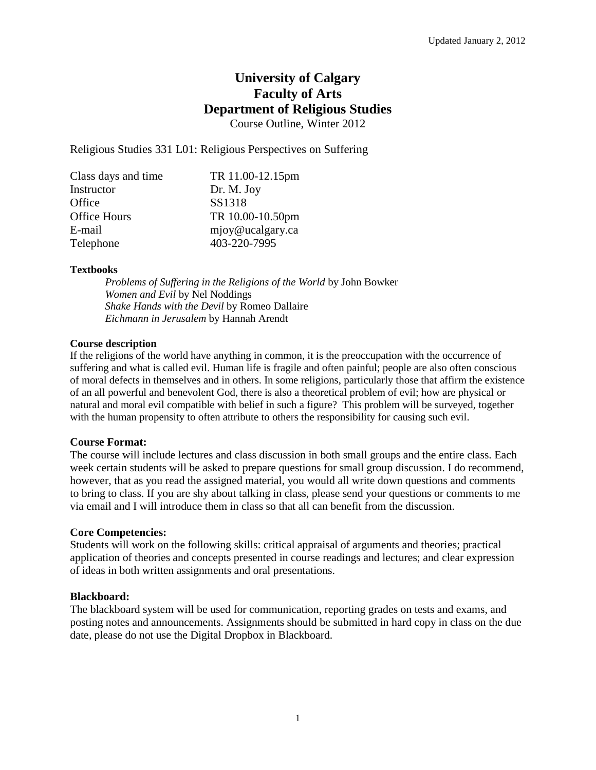# **University of Calgary Faculty of Arts Department of Religious Studies**

Course Outline, Winter 2012

Religious Studies 331 L01: Religious Perspectives on Suffering

| Class days and time | TR 11.00-12.15pm |
|---------------------|------------------|
| Instructor          | Dr. M. Joy       |
| Office              | SS1318           |
| <b>Office Hours</b> | TR 10.00-10.50pm |
| E-mail              | mjoy@ucalgary.ca |
| Telephone           | 403-220-7995     |

# **Textbooks**

*Problems of Suffering in the Religions of the World* by John Bowker *Women and Evil* by Nel Noddings *Shake Hands with the Devil* by Romeo Dallaire *Eichmann in Jerusalem* by Hannah Arendt

## **Course description**

If the religions of the world have anything in common, it is the preoccupation with the occurrence of suffering and what is called evil. Human life is fragile and often painful; people are also often conscious of moral defects in themselves and in others. In some religions, particularly those that affirm the existence of an all powerful and benevolent God, there is also a theoretical problem of evil; how are physical or natural and moral evil compatible with belief in such a figure? This problem will be surveyed, together with the human propensity to often attribute to others the responsibility for causing such evil.

# **Course Format:**

The course will include lectures and class discussion in both small groups and the entire class. Each week certain students will be asked to prepare questions for small group discussion. I do recommend, however, that as you read the assigned material, you would all write down questions and comments to bring to class. If you are shy about talking in class, please send your questions or comments to me via email and I will introduce them in class so that all can benefit from the discussion.

### **Core Competencies:**

Students will work on the following skills: critical appraisal of arguments and theories; practical application of theories and concepts presented in course readings and lectures; and clear expression of ideas in both written assignments and oral presentations.

# **Blackboard:**

The blackboard system will be used for communication, reporting grades on tests and exams, and posting notes and announcements. Assignments should be submitted in hard copy in class on the due date, please do not use the Digital Dropbox in Blackboard.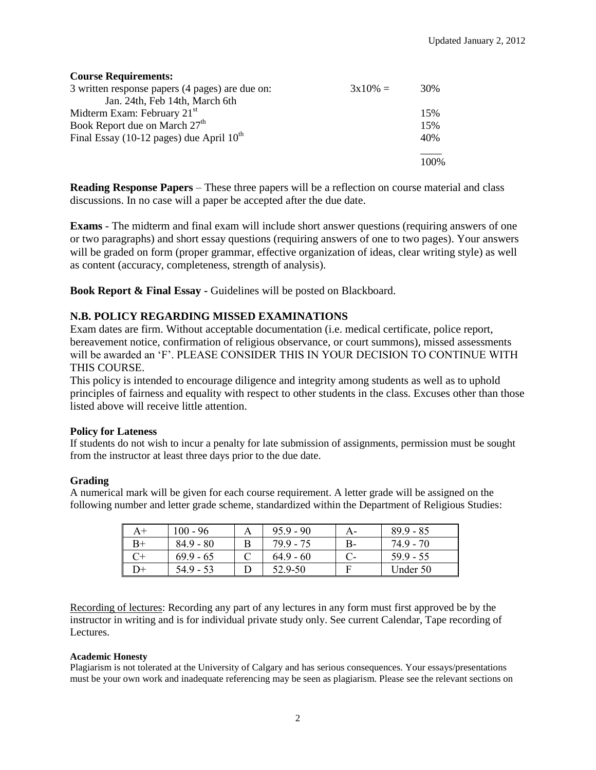## **Course Requirements:**

| 3 written response papers (4 pages) are due on: | $3x10% =$ | 30%   |
|-------------------------------------------------|-----------|-------|
| Jan. 24th, Feb 14th, March 6th                  |           |       |
| Midterm Exam: February $21st$                   |           | 15%   |
| Book Report due on March 27 <sup>th</sup>       |           | 15%   |
| Final Essay (10-12 pages) due April $10th$      |           | 40%   |
|                                                 |           |       |
|                                                 |           | 100\% |

**Reading Response Papers** – These three papers will be a reflection on course material and class discussions. In no case will a paper be accepted after the due date.

**Exams** - The midterm and final exam will include short answer questions (requiring answers of one or two paragraphs) and short essay questions (requiring answers of one to two pages). Your answers will be graded on form (proper grammar, effective organization of ideas, clear writing style) as well as content (accuracy, completeness, strength of analysis).

**Book Report & Final Essay -** Guidelines will be posted on Blackboard.

# **N.B. POLICY REGARDING MISSED EXAMINATIONS**

Exam dates are firm. Without acceptable documentation (i.e. medical certificate, police report, bereavement notice, confirmation of religious observance, or court summons), missed assessments will be awarded an 'F'. PLEASE CONSIDER THIS IN YOUR DECISION TO CONTINUE WITH THIS COURSE.

This policy is intended to encourage diligence and integrity among students as well as to uphold principles of fairness and equality with respect to other students in the class. Excuses other than those listed above will receive little attention.

# **Policy for Lateness**

If students do not wish to incur a penalty for late submission of assignments, permission must be sought from the instructor at least three days prior to the due date.

# **Grading**

A numerical mark will be given for each course requirement. A letter grade will be assigned on the following number and letter grade scheme, standardized within the Department of Religious Studies:

| A+   | $100 - 96$  | $959 - 90$  |    | $89.9 - 85$ |
|------|-------------|-------------|----|-------------|
| $B+$ | $84.9 - 80$ | 79.9 - 75   | B- | $74.9 - 70$ |
|      | $69.9 - 65$ | $64.9 - 60$ |    | $59.9 - 55$ |
| )+   | 54.9 - 53   | 52.9-50     |    | Under 50    |

Recording of lectures: Recording any part of any lectures in any form must first approved be by the instructor in writing and is for individual private study only. See current Calendar, Tape recording of Lectures.

### **Academic Honesty**

Plagiarism is not tolerated at the University of Calgary and has serious consequences. Your essays/presentations must be your own work and inadequate referencing may be seen as plagiarism. Please see the relevant sections on